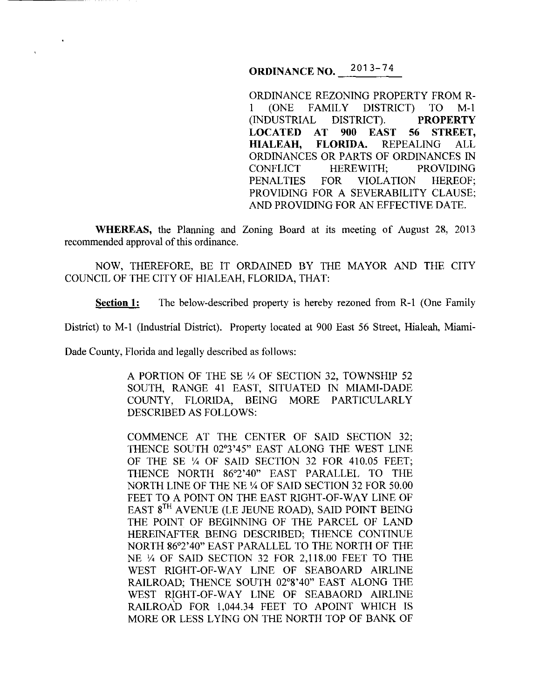**ORDINANCE NO.**  $^{2013-74}$ 

ORDINANCE REZONING PROPERTY FROM R-1 (ONE FAMILY DISTRICT) TO M-1 (INDUSTRIAL DISTRICT). **PROPERTY LOCATED AT 900 EAST 56 STREET, HIALEAH, FLORIDA.** REPEALING ALL ORDINANCES OR PARTS OF ORDINANCES IN CONFLICT HEREWITH; PROVIDING PENALTIES FOR VIOLATION HEREOF; PROVIDING FOR A SEVERABILITY CLAUSE; AND PROVIDING FOR AN EFFECTIVE DATE.

**WHEREAS,** the Planning and Zoning Board at its meeting of August 28, 2013 recommended approval of this ordinance.

NOW, THEREFORE, BE IT ORDAINED BY THE MAYOR AND THE CITY COUNCIL OF THE CITY OF HIALEAH, FLORIDA, THAT:

**Section 1:** The below-described property is hereby rezoned from R-1 (One Family

District) to M-1 (Industrial District). Property located at 900 East 56 Street, Hialeah, Miami-

Dade County, Florida and legally described as follows:

A PORTION OF THE SE Y. OF SECTION 32, TOWNSHIP 52 SOUTH, RANGE 41 EAST, SITUATED IN MIAMI-DADE COUNTY, FLORIDA, BEING MORE PARTICULARLY DESCRIBED AS FOLLOWS:

COMMENCE AT THE CENTER OF SAID SECTION 32; THENCE SOUTH 02°3'45" EAST ALONG THE WEST LINE OF THE SE 1/4 OF SAID SECTION 32 FOR 410.05 FEET; THENCE NORTH 86°2'40" EAST PARALLEL TO THE NORTH LINE OF THE NE Y. OF SAID SECTION 32 FOR 50.00 FEET TO A POINT ON THE EAST RIGHT-OF-WAY LINE OF EAST 8<sup>TH</sup> AVENUE (LE JEUNE ROAD), SAID POINT BEING THE POINT OF BEGINNING OF THE PARCEL OF LAND HEREINAFTER BEING DESCRIBED; THENCE CONTINUE NORTH 86°2'40" EAST PARALLEL TO THE NORTH OF THE NE Y. OF SAID SECTION 32 FOR 2,118.00 FEET TO THE WEST RIGHT-OF-WAY LINE OF SEABOARD AIRLINE RAILROAD; THENCE SOUTH 02°8'40" EAST ALONG THE WEST RIGHT-OF-WAY LINE OF SEABAORD AIRLINE RAILROAD FOR 1,044.34 FEET TO APOINT WHICH IS MORE OR LESS LYING ON THE NORTH TOP OF BANK OF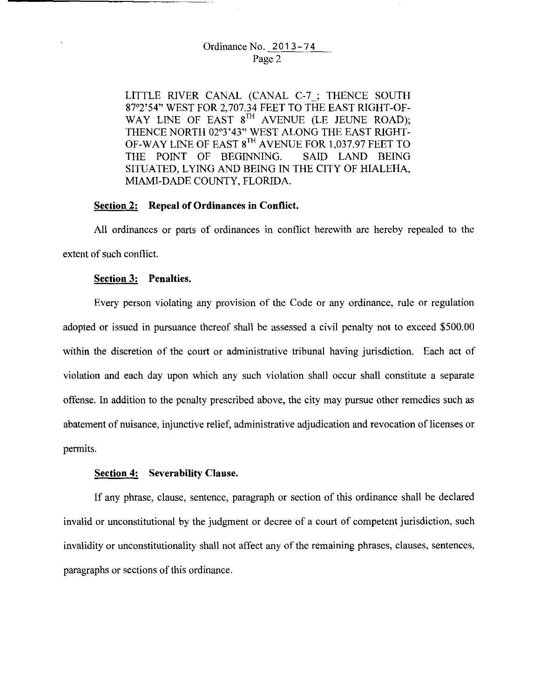## Ordinance No. 2013-74 Page 2

LITTLE RIVER CANAL (CANAL C-7 ; THENCE SOUTH 87°2'54" WEST FOR 2, 707.34 FEET TO THE EAST RIGHT-OF-WAY LINE OF EAST 8<sup>TH</sup> AVENUE (LE JEUNE ROAD); THENCE NORTH 02°3'43" WEST ALONG THE EAST RIGHT-OF-WAY LINE OF EAST 8<sup>TH</sup> AVENUE FOR 1,037.97 FEET TO THE POINT OF BEGINNING. SAID LAND BEING SITUATED, LYING AND BEING IN THE CITY OF HIALEHA, MIAMI-DADE COUNTY, FLORIDA.

### **Section 2: Repeal of Ordinances in Conflict.**

All ordinances or parts of ordinances in conflict herewith are hereby repealed to the extent of such conflict.

#### **Section 3: Penalties.**

Every person violating any provision of the Code or any ordinance, rule or regulation adopted or issued in pursuance thereof shall be assessed a civil penalty not to exceed \$500.00 within the discretion of the court or administrative tribunal having jurisdiction. Each act of violation and each day upon which any such violation shall occur shall constitute a separate offense. In addition to the penalty prescribed above, the city may pursue other remedies such as abatement of nuisance, injunctive relief, administrative adjudication and revocation of licenses or permits.

#### **Section 4: Severability Clause.**

If any phrase, clause, sentence, paragraph or section of this ordinance shall be declared invalid or unconstitutional by the judgment or decree of a court of competent jurisdiction, such invalidity or unconstitutionality shall not affect any of the remaining phrases, clauses, sentences, paragraphs or sections of this ordinance.